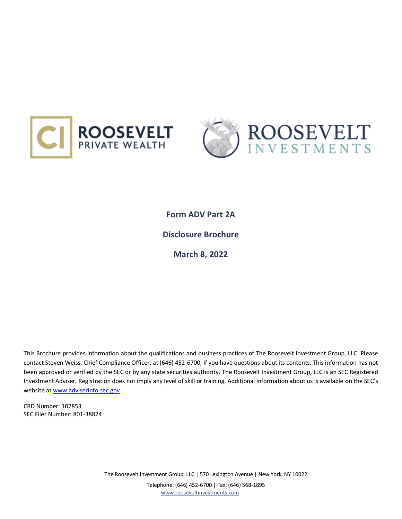



**Form ADV Part 2A Disclosure Brochure March 8, 2022**

This Brochure provides information about the qualifications and business practices of The Roosevelt Investment Group, LLC. Please contact Steven Weiss, Chief Compliance Officer, at (646) 452-6700, if you have questions about its contents. This information has not been approved or verified by the SEC or by any state securities authority. The Roosevelt Investment Group, LLC is an SEC Registered Investment Adviser. Registration does not imply any level of skill or training. Additional information about us is available on the SEC's website a[t www.adviserinfo.sec.gov.](http://www.adviserinfo.sec.gov/)

CRD Number: 107853 SEC Filer Number: 801-38824

> The Roosevelt Investment Group, LLC | 570 Lexington Avenue | New York, NY 10022 Telephone: (646) 452-6700 | Fax: (646) 568-1895 [www.rooseveltinvestments.com](http://www.rooseveltinvestments.com/)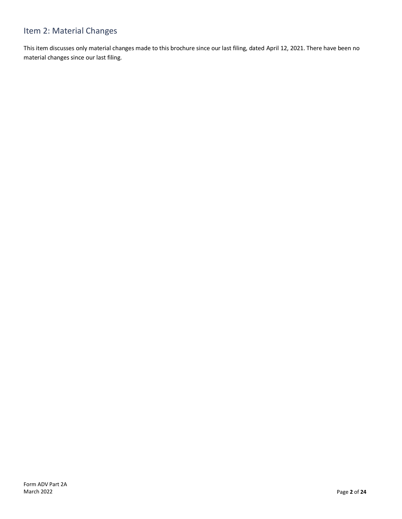# <span id="page-1-0"></span>Item 2: Material Changes

This item discusses only material changes made to this brochure since our last filing, dated April 12, 2021. There have been no material changes since our last filing.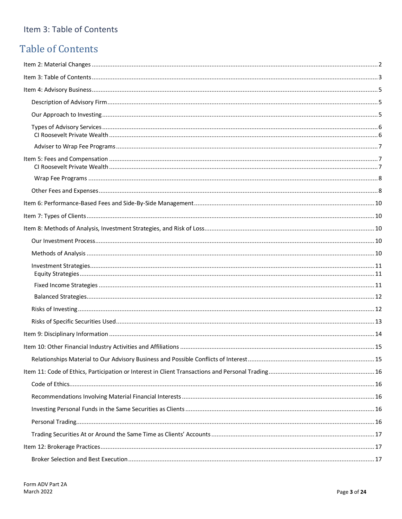# <span id="page-2-0"></span>Item 3: Table of Contents

# **Table of Contents**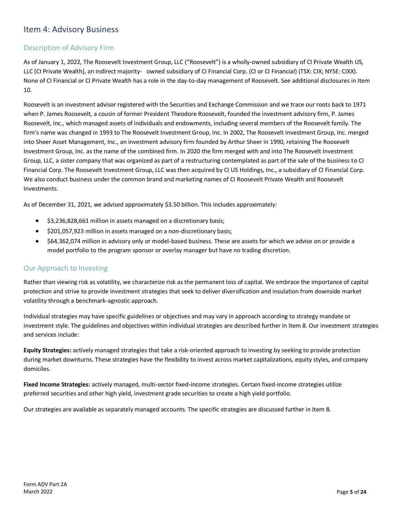# <span id="page-4-0"></span>Item 4: Advisory Business

### <span id="page-4-1"></span>Description of Advisory Firm

As of January 1, 2022, The Roosevelt Investment Group, LLC ("Roosevelt") is a wholly-owned subsidiary of CI Private Wealth US, LLC (CI Private Wealth), an indirect majority- owned subsidiary of CI Financial Corp. (CI or CI Financial) (TSX: CIX; NYSE: CIXX). None of CI Financial or CI Private Wealth has a role in the day-to-day management of Roosevelt. See additional disclosures in Item 10.

Roosevelt is an investment advisor registered with the Securities and Exchange Commission and we trace our roots back to 1971 when P. James Roosevelt, a cousin of former President Theodore Roosevelt, founded the investment advisory firm, P. James Roosevelt, Inc., which managed assets of individuals and endowments, including several members of the Roosevelt family. The firm's name was changed in 1993 to The Roosevelt Investment Group, Inc. In 2002, The Roosevelt Investment Group, Inc. merged into Sheer Asset Management, Inc., an investment advisory firm founded by Arthur Sheer in 1990, retaining The Roosevelt Investment Group, Inc. as the name of the combined firm. In 2020 the firm merged with and into The Roosevelt Investment Group, LLC, a sister company that was organized as part of a restructuring contemplated as part of the sale of the business to CI Financial Corp. The Roosevelt Investment Group, LLC was then acquired by CI US Holdings, Inc., a subsidiary of CI Financial Corp. We also conduct business under the common brand and marketing names of CI Roosevelt Private Wealth and Roosevelt Investments.

<span id="page-4-2"></span>As of December 31, 2021, we advised approximately \$3.50 billion. This includes approximately:

- \$3,236,828,661 million in assets managed on a discretionary basis;
- \$201,057,923 million in assets managed on a non-discretionary basis;
- \$64,362,074 million in advisory only or model-based business. These are assets for which we advise on or provide a model portfolio to the program sponsor or overlay manager but have no trading discretion.

### Our Approach to Investing

Rather than viewing risk as volatility, we characterize risk as the permanent loss of capital. We embrace the importance of capital protection and strive to provide investment strategies that seek to deliver diversification and insulation from downside market volatility through a benchmark-agnostic approach.

Individual strategies may have specific guidelines or objectives and may vary in approach according to strategy mandate or investment style. The guidelines and objectives within individual strategies are described further in Item 8. Our investment strategies and services include:

**Equity Strategies:** actively managed strategies that take a risk-oriented approach to investing by seeking to provide protection during market downturns. These strategies have the flexibility to invest across market capitalizations, equity styles, and company domiciles.

**Fixed Income Strategies:** actively managed, multi-sector fixed-income strategies. Certain fixed-income strategies utilize preferred securities and other high yield, investment grade securities to create a high yield portfolio.

Our strategies are available as separately managed accounts. The specific strategies are discussed further in Item 8.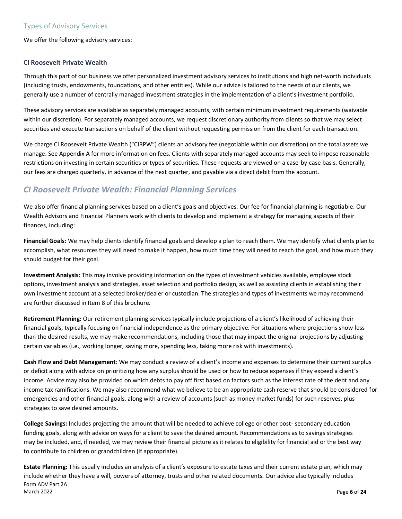<span id="page-5-0"></span>We offer the following advisory services:

#### <span id="page-5-1"></span>**CI Roosevelt Private Wealth**

Through this part of our business we offer personalized investment advisory services to institutions and high net-worth individuals (including trusts, endowments, foundations, and other entities). While our advice is tailored to the needs of our clients, we generally use a number of centrally managed investment strategies in the implementation of a client's investment portfolio.

These advisory services are available as separately managed accounts, with certain minimum investment requirements (waivable within our discretion). For separately managed accounts, we request discretionary authority from clients so that we may select securities and execute transactions on behalf of the client without requesting permission from the client for each transaction.

We charge CI Roosevelt Private Wealth ("CIRPW") clients an advisory fee (negotiable within our discretion) on the total assets we manage. See Appendix A for more information on fees. Clients with separately managed accounts may seek to impose reasonable restrictions on investing in certain securities or types of securities. These requests are viewed on a case-by-case basis. Generally, our fees are charged quarterly, in advance of the next quarter, and payable via a direct debit from the account.

# *CI Roosevelt Private Wealth: Financial Planning Services*

We also offer financial planning services based on a client's goals and objectives. Our fee for financial planning is negotiable. Our Wealth Advisors and Financial Planners work with clients to develop and implement a strategy for managing aspects of their finances, including:

**Financial Goals:** We may help clients identify financial goals and develop a plan to reach them. We may identify what clients plan to accomplish, what resources they will need to make it happen, how much time they will need to reach the goal, and how much they should budget for their goal.

**Investment Analysis:** This may involve providing information on the types of investment vehicles available, employee stock options, investment analysis and strategies, asset selection and portfolio design, as well as assisting clients in establishing their own investment account at a selected broker/dealer or custodian. The strategies and types of investments we may recommend are further discussed in Item 8 of this brochure.

**Retirement Planning:** Our retirement planning services typically include projections of a client's likelihood of achieving their financial goals, typically focusing on financial independence as the primary objective. For situations where projections show less than the desired results, we may make recommendations, including those that may impact the original projections by adjusting certain variables (i.e., working longer, saving more, spending less, taking more risk with investments).

**Cash Flow and Debt Management**: We may conduct a review of a client's income and expenses to determine their current surplus or deficit along with advice on prioritizing how any surplus should be used or how to reduce expenses if they exceed a client's income. Advice may also be provided on which debts to pay off first based on factors such as the interest rate of the debt and any income tax ramifications. We may also recommend what we believe to be an appropriate cash reserve that should be considered for emergencies and other financial goals, along with a review of accounts (such as money market funds) for such reserves, plus strategies to save desired amounts.

**College Savings:** Includes projecting the amount that will be needed to achieve college or other post- secondary education funding goals, along with advice on ways for a client to save the desired amount. Recommendations as to savings strategies may be included, and, if needed, we may review their financial picture as it relates to eligibility for financial aid or the best way to contribute to children or grandchildren (if appropriate).

Form ADV Part 2A March 2022 Page **6** of **24 Estate Planning:** This usually includes an analysis of a client's exposure to estate taxes and their current estate plan, which may include whether they have a will, powers of attorney, trusts and other related documents. Our advice also typically includes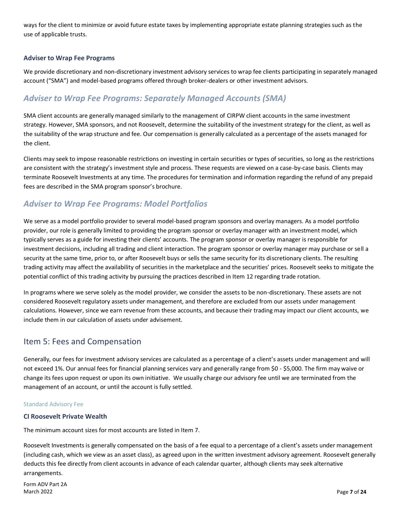ways for the client to minimize or avoid future estate taxes by implementing appropriate estate planning strategies such as the use of applicable trusts.

#### <span id="page-6-0"></span>**Adviser to Wrap Fee Programs**

We provide discretionary and non-discretionary investment advisory services to wrap fee clients participating in separately managed account ("SMA") and model-based programs offered through broker-dealers or other investment advisors.

# *Adviser to Wrap Fee Programs: Separately Managed Accounts (SMA)*

SMA client accounts are generally managed similarly to the management of CIRPW client accounts in the same investment strategy. However, SMA sponsors, and not Roosevelt, determine the suitability of the investment strategy for the client, as well as the suitability of the wrap structure and fee. Our compensation is generally calculated as a percentage of the assets managed for the client.

Clients may seek to impose reasonable restrictions on investing in certain securities or types of securities, so long as the restrictions are consistent with the strategy's investment style and process. These requests are viewed on a case-by-case basis. Clients may terminate Roosevelt Investments at any time. The procedures for termination and information regarding the refund of any prepaid fees are described in the SMA program sponsor's brochure.

## *Adviser to Wrap Fee Programs: Model Portfolios*

We serve as a model portfolio provider to several model-based program sponsors and overlay managers. As a model portfolio provider, our role is generally limited to providing the program sponsor or overlay manager with an investment model, which typically serves as a guide for investing their clients' accounts. The program sponsor or overlay manager is responsible for investment decisions, including all trading and client interaction. The program sponsor or overlay manager may purchase or sell a security at the same time, prior to, or after Roosevelt buys or sells the same security for its discretionary clients. The resulting trading activity may affect the availability of securities in the marketplace and the securities' prices. Roosevelt seeks to mitigate the potential conflict of this trading activity by pursuing the practices described in Item 12 regarding trade rotation.

In programs where we serve solely as the model provider, we consider the assets to be non-discretionary. These assets are not considered Roosevelt regulatory assets under management, and therefore are excluded from our assets under management calculations. However, since we earn revenue from these accounts, and because their trading may impact our client accounts, we include them in our calculation of assets under advisement.

### <span id="page-6-1"></span>Item 5: Fees and Compensation

Generally, our fees for investment advisory services are calculated as a percentage of a client's assets under management and will not exceed 1%. Our annual fees for financial planning services vary and generally range from \$0 - \$5,000. The firm may waive or change its fees upon request or upon its own initiative. We usually charge our advisory fee until we are terminated from the management of an account, or until the account is fully settled.

#### Standard Advisory Fee

#### <span id="page-6-2"></span>**CI Roosevelt Private Wealth**

The minimum account sizes for most accounts are listed in Item 7.

Roosevelt Investments is generally compensated on the basis of a fee equal to a percentage of a client's assets under management (including cash, which we view as an asset class), as agreed upon in the written investment advisory agreement. Roosevelt generally deducts this fee directly from client accounts in advance of each calendar quarter, although clients may seek alternative arrangements.

Form ADV Part 2A March 2022 Page **7** of **24**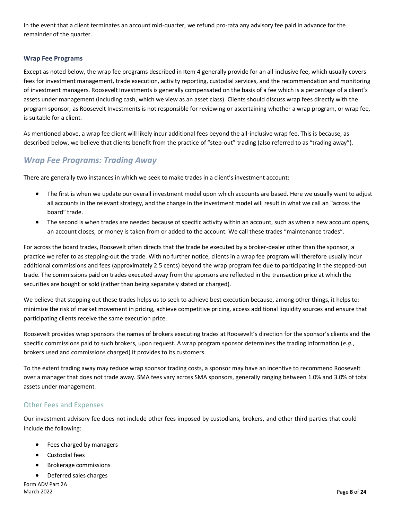In the event that a client terminates an account mid-quarter, we refund pro-rata any advisory fee paid in advance for the remainder of the quarter.

#### <span id="page-7-0"></span>**Wrap Fee Programs**

Except as noted below, the wrap fee programs described in Item 4 generally provide for an all-inclusive fee, which usually covers fees for investment management, trade execution, activity reporting, custodial services, and the recommendation and monitoring of investment managers. Roosevelt Investments is generally compensated on the basis of a fee which is a percentage of a client's assets under management (including cash, which we view as an asset class). Clients should discuss wrap fees directly with the program sponsor, as Roosevelt Investments is not responsible for reviewing or ascertaining whether a wrap program, or wrap fee, is suitable for a client.

As mentioned above, a wrap fee client will likely incur additional fees beyond the all-inclusive wrap fee. This is because, as described below, we believe that clients benefit from the practice of "step-out" trading (also referred to as "trading away").

### *Wrap Fee Programs: Trading Away*

There are generally two instances in which we seek to make trades in a client's investment account:

- The first is when we update our overall investment model upon which accounts are based. Here we usually want to adjust all accounts in the relevant strategy, and the change in the investment model will result in what we call an "across the board" trade.
- The second is when trades are needed because of specific activity within an account, such as when a new account opens, an account closes, or money is taken from or added to the account. We call these trades "maintenance trades".

For across the board trades, Roosevelt often directs that the trade be executed by a broker-dealer other than the sponsor, a practice we refer to as stepping-out the trade. With no further notice, clients in a wrap fee program will therefore usually incur additional commissions and fees (approximately 2.5 cents) beyond the wrap program fee due to participating in the stepped-out trade. The commissions paid on trades executed away from the sponsors are reflected in the transaction price at which the securities are bought or sold (rather than being separately stated or charged).

We believe that stepping out these trades helps us to seek to achieve best execution because, among other things, it helps to: minimize the risk of market movement in pricing, achieve competitive pricing, access additional liquidity sources and ensure that participating clients receive the same execution price.

Roosevelt provides wrap sponsors the names of brokers executing trades at Roosevelt's direction for the sponsor's clients and the specific commissions paid to such brokers, upon request. A wrap program sponsor determines the trading information (*e.g*., brokers used and commissions charged) it provides to its customers.

To the extent trading away may reduce wrap sponsor trading costs, a sponsor may have an incentive to recommend Roosevelt over a manager that does not trade away. SMA fees vary across SMA sponsors, generally ranging between 1.0% and 3.0% of total assets under management.

#### <span id="page-7-1"></span>Other Fees and Expenses

Our investment advisory fee does not include other fees imposed by custodians, brokers, and other third parties that could include the following:

- Fees charged by managers
- Custodial fees
- Brokerage commissions
- Deferred sales charges

Form ADV Part 2A March 2022 Page **8** of **24**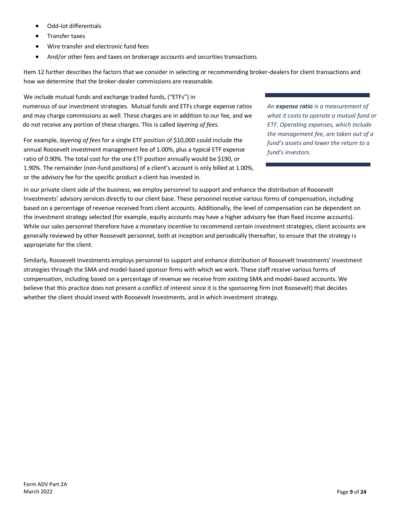- Odd-lot differentials
- Transfer taxes
- Wire transfer and electronic fund fees
- And/or other fees and taxes on brokerage accounts and securities transactions

Item 12 further describes the factors that we consider in selecting or recommending broker-dealers for client transactions and how we determine that the broker-dealer commissions are reasonable.

We include mutual funds and exchange traded funds, ("ETFs") in numerous of our investment strategies. Mutual funds and ETFs charge expense ratios and may charge commissions as well. These charges are in addition to our fee, and we do not receive any portion of these charges. This is called *layering of fees*.

For example, *layering of fees* for a single ETF position of \$10,000 could include the annual Roosevelt investment management fee of 1.00%, plus a typical ETF expense ratio of 0.90%. The total cost for the one ETF position annually would be \$190, or 1.90%. The remainder (non-fund positions) of a client's account is only billed at 1.00%, or the advisory fee for the specific product a client has invested in.

*An expense ratio is a measurement of what it costs to operate a mutual fund or ETF. Operating expenses, which include the management fee, are taken out of a fund's assets and lower the return to a fund's investors.*

In our private client side of the business, we employ personnel to support and enhance the distribution of Roosevelt Investments' advisory services directly to our client base. These personnel receive various forms of compensation, including based on a percentage of revenue received from client accounts. Additionally, the level of compensation can be dependent on the investment strategy selected (for example, equity accounts may have a higher advisory fee than fixed income accounts). While our sales personnel therefore have a monetary incentive to recommend certain investment strategies, client accounts are generally reviewed by other Roosevelt personnel, both at inception and periodically thereafter, to ensure that the strategy is appropriate for the client.

Similarly, Roosevelt Investments employs personnel to support and enhance distribution of Roosevelt Investments' investment strategies through the SMA and model-based sponsor firms with which we work. These staff receive various forms of compensation, including based on a percentage of revenue we receive from existing SMA and model-based accounts. We believe that this practice does not present a conflict of interest since it is the sponsoring firm (not Roosevelt) that decides whether the client should invest with Roosevelt Investments, and in which investment strategy.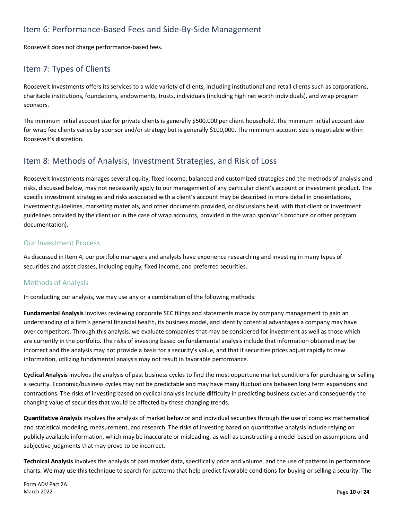# <span id="page-9-0"></span>Item 6: Performance-Based Fees and Side-By-Side Management

Roosevelt does not charge performance-based fees.

# <span id="page-9-1"></span>Item 7: Types of Clients

Roosevelt Investments offers its services to a wide variety of clients, including institutional and retail clients such as corporations, charitable institutions, foundations, endowments, trusts, individuals (including high net worth individuals), and wrap program sponsors.

The minimum initial account size for private clients is generally \$500,000 per client household. The minimum initial account size for wrap fee clients varies by sponsor and/or strategy but is generally \$100,000. The minimum account size is negotiable within Roosevelt's discretion.

# <span id="page-9-2"></span>Item 8: Methods of Analysis, Investment Strategies, and Risk of Loss

Roosevelt Investments manages several equity, fixed income, balanced and customized strategies and the methods of analysis and risks, discussed below, may not necessarily apply to our management of any particular client's account or investment product. The specific investment strategies and risks associated with a client's account may be described in more detail in presentations, investment guidelines, marketing materials, and other documents provided, or discussions held, with that client or investment guidelines provided by the client (or in the case of wrap accounts, provided in the wrap sponsor's brochure or other program documentation).

#### <span id="page-9-3"></span>Our Investment Process

As discussed in Item 4, our portfolio managers and analysts have experience researching and investing in many types of securities and asset classes, including equity, fixed income, and preferred securities.

### <span id="page-9-4"></span>Methods of Analysis

In conducting our analysis, we may use any or a combination of the following methods:

**Fundamental Analysis** involves reviewing corporate SEC filings and statements made by company management to gain an understanding of a firm's general financial health, its business model, and identify potential advantages a company may have over competitors. Through this analysis, we evaluate companies that may be considered for investment as well as those which are currently in the portfolio. The risks of investing based on fundamental analysis include that information obtained may be incorrect and the analysis may not provide a basis for a security's value, and that if securities prices adjust rapidly to new information, utilizing fundamental analysis may not result in favorable performance.

**Cyclical Analysis** involves the analysis of past business cycles to find the most opportune market conditions for purchasing or selling a security. Economic/business cycles may not be predictable and may have many fluctuations between long term expansions and contractions. The risks of investing based on cyclical analysis include difficulty in predicting business cycles and consequently the changing value of securities that would be affected by these changing trends.

**Quantitative Analysis** involves the analysis of market behavior and individual securities through the use of complex mathematical and statistical modeling, measurement, and research. The risks of investing based on quantitative analysis include relying on publicly available information, which may be inaccurate or misleading, as well as constructing a model based on assumptions and subjective judgments that may prove to be incorrect.

**Technical Analysis** involves the analysis of past market data, specifically price and volume, and the use of patterns in performance charts. We may use this technique to search for patterns that help predict favorable conditions for buying or selling a security. The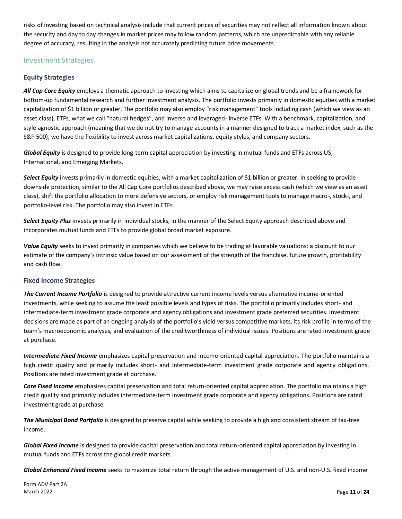risks of investing based on technical analysis include that current prices of securities may not reflect all information known about the security and day to day changes in market prices may follow random patterns, which are unpredictable with any reliable degree of accuracy, resulting in the analysis not accurately predicting future price movements.

#### <span id="page-10-1"></span><span id="page-10-0"></span>Investment Strategies

#### **Equity Strategies**

*All Cap Core Equity* employs a thematic approach to investing which aims to capitalize on global trends and be a framework for bottom-up fundamental research and further investment analysis. The portfolio invests primarily in domestic equities with a market capitalization of \$1 billion or greater. The portfolio may also employ "risk management" tools including cash (which we view as an asset class), ETFs, what we call "natural hedges", and inverse and leveraged- inverse ETFs. With a benchmark, capitalization, and style agnostic approach (meaning that we do not try to manage accounts in a manner designed to track a market index, such as the S&P 500), we have the flexibility to invest across market capitalizations, equity styles, and company sectors.

*Global Equity* is designed to provide long-term capital appreciation by investing in mutual funds and ETFs across US, International, and Emerging Markets.

*Select Equity* invests primarily in domestic equities, with a market capitalization of \$1 billion or greater. In seeking to provide downside protection, similar to the All Cap Core portfolios described above, we may raise excess cash (which we view as an asset class), shift the portfolio allocation to more defensive sectors, or employ risk management tools to manage macro-, stock-, and portfolio-level risk. The portfolio may also invest in ETFs.

*Select Equity Plus* invests primarily in individual stocks, in the manner of the Select Equity approach described above and incorporates mutual funds and ETFs to provide global broad market exposure.

*Value Equity* seeks to invest primarily in companies which we believe to be trading at favorable valuations: a discount to our estimate of the company's intrinsic value based on our assessment of the strength of the franchise, future growth, profitability and cash flow.

#### <span id="page-10-2"></span>**Fixed Income Strategies**

*The Current Income Portfolio* is designed to provide attractive current income levels versus alternative income-oriented investments, while seeking to assume the least possible levels and types of risks. The portfolio primarily includes short- and intermediate-term investment grade corporate and agency obligations and investment grade preferred securities. Investment decisions are made as part of an ongoing analysis of the portfolio's yield versus competitive markets, its risk profile in terms of the team's macroeconomic analyses, and evaluation of the creditworthiness of individual issues. Positions are rated investment grade at purchase.

*Intermediate Fixed Income* emphasizes capital preservation and income-oriented capital appreciation. The portfolio maintains a high credit quality and primarily includes short- and intermediate-term investment grade corporate and agency obligations. Positions are rated investment grade at purchase.

*Core Fixed Income* emphasizes capital preservation and total return-oriented capital appreciation. The portfolio maintains a high credit quality and primarily includes intermediate-term investment grade corporate and agency obligations. Positions are rated investment grade at purchase.

*The Municipal Bond Portfolio* is designed to preserve capital while seeking to provide a high and consistent stream of tax-free income.

*Global Fixed Income* is designed to provide capital preservation and total return-oriented capital appreciation by investing in mutual funds and ETFs across the global credit markets.

*Global Enhanced Fixed Income* seeks to maximize total return through the active management of U.S. and non-U.S. fixed income

Form ADV Part 2A March 2022 Page **11** of **24**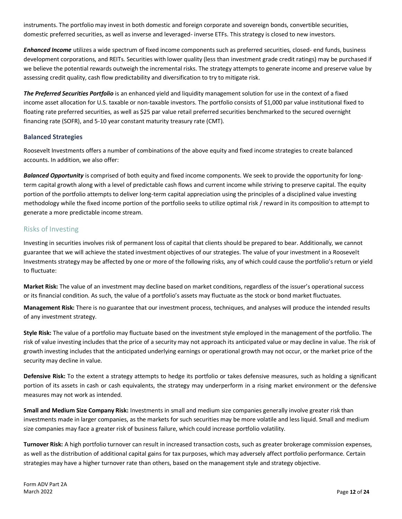instruments. The portfolio may invest in both domestic and foreign corporate and sovereign bonds, convertible securities, domestic preferred securities, as well as inverse and leveraged- inverse ETFs. This strategy is closed to new investors.

*Enhanced Income* utilizes a wide spectrum of fixed income components such as preferred securities, closed- end funds, business development corporations, and REITs. Securities with lower quality (less than investment grade credit ratings) may be purchased if we believe the potential rewards outweigh the incremental risks. The strategy attempts to generate income and preserve value by assessing credit quality, cash flow predictability and diversification to try to mitigate risk.

*The Preferred Securities Portfolio* is an enhanced yield and liquidity management solution for use in the context of a fixed income asset allocation for U.S. taxable or non-taxable investors. The portfolio consists of \$1,000 par value institutional fixed to floating rate preferred securities, as well as \$25 par value retail preferred securities benchmarked to the secured overnight financing rate (SOFR), and 5-10 year constant maturity treasury rate (CMT).

#### <span id="page-11-0"></span>**Balanced Strategies**

Roosevelt Investments offers a number of combinations of the above equity and fixed income strategies to create balanced accounts. In addition, we also offer:

*Balanced Opportunity* is comprised of both equity and fixed income components. We seek to provide the opportunity for longterm capital growth along with a level of predictable cash flows and current income while striving to preserve capital. The equity portion of the portfolio attempts to deliver long-term capital appreciation using the principles of a disciplined value investing methodology while the fixed income portion of the portfolio seeks to utilize optimal risk / reward in its composition to attempt to generate a more predictable income stream.

#### <span id="page-11-1"></span>Risks of Investing

Investing in securities involves risk of permanent loss of capital that clients should be prepared to bear. Additionally, we cannot guarantee that we will achieve the stated investment objectives of our strategies. The value of your investment in a Roosevelt Investments strategy may be affected by one or more of the following risks, any of which could cause the portfolio's return or yield to fluctuate:

**Market Risk:** The value of an investment may decline based on market conditions, regardless of the issuer's operational success or its financial condition. As such, the value of a portfolio's assets may fluctuate as the stock or bond market fluctuates.

**Management Risk:** There is no guarantee that our investment process, techniques, and analyses will produce the intended results of any investment strategy.

**Style Risk:** The value of a portfolio may fluctuate based on the investment style employed in the management of the portfolio. The risk of value investing includes that the price of a security may not approach its anticipated value or may decline in value. The risk of growth investing includes that the anticipated underlying earnings or operational growth may not occur, or the market price of the security may decline in value.

**Defensive Risk:** To the extent a strategy attempts to hedge its portfolio or takes defensive measures, such as holding a significant portion of its assets in cash or cash equivalents, the strategy may underperform in a rising market environment or the defensive measures may not work as intended.

**Small and Medium Size Company Risk:** Investments in small and medium size companies generally involve greater risk than investments made in larger companies, as the markets for such securities may be more volatile and less liquid. Small and medium size companies may face a greater risk of business failure, which could increase portfolio volatility.

**Turnover Risk:** A high portfolio turnover can result in increased transaction costs, such as greater brokerage commission expenses, as well as the distribution of additional capital gains for tax purposes, which may adversely affect portfolio performance. Certain strategies may have a higher turnover rate than others, based on the management style and strategy objective.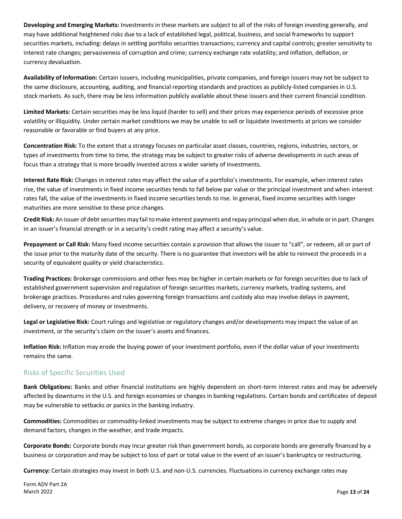**Developing and Emerging Markets:** Investments in these markets are subject to all of the risks of foreign investing generally, and may have additional heightened risks due to a lack of established legal, political, business, and social frameworks to support securities markets, including: delays in settling portfolio securities transactions; currency and capital controls; greater sensitivity to interest rate changes; pervasiveness of corruption and crime; currency exchange rate volatility; and inflation, deflation, or currency devaluation.

**Availability of Information:** Certain issuers, including municipalities, private companies, and foreign issuers may not be subject to the same disclosure, accounting, auditing, and financial reporting standards and practices as publicly-listed companies in U.S. stock markets. As such, there may be less information publicly available about these issuers and their current financial condition.

**Limited Markets:** Certain securities may be less liquid (harder to sell) and their prices may experience periods of excessive price volatility or illiquidity. Under certain market conditions we may be unable to sell or liquidate investments at prices we consider reasonable or favorable or find buyers at any price.

**Concentration Risk:** To the extent that a strategy focuses on particular asset classes, countries, regions, industries, sectors, or types of investments from time to time, the strategy may be subject to greater risks of adverse developments in such areas of focus than a strategy that is more broadly invested across a wider variety of investments.

**Interest Rate Risk:** Changes in interest rates may affect the value of a portfolio's investments. For example, when interest rates rise, the value of investments in fixed income securities tends to fall below par value or the principal investment and when interest rates fall, the value of the investments in fixed income securities tends to rise. In general, fixed income securities with longer maturities are more sensitive to these price changes.

**Credit Risk:** An issuer of debt securities may fail to make interest payments and repay principal when due, in whole or in part. Changes in an issuer's financial strength or in a security's credit rating may affect a security's value.

**Prepayment or Call Risk:** Many fixed income securities contain a provision that allows the issuer to "call", or redeem, all or part of the issue prior to the maturity date of the security. There is no guarantee that investors will be able to reinvest the proceeds in a security of equivalent quality or yield characteristics.

**Trading Practices:** Brokerage commissions and other fees may be higher in certain markets or for foreign securities due to lack of established government supervision and regulation of foreign securities markets, currency markets, trading systems, and brokerage practices. Procedures and rules governing foreign transactions and custody also may involve delays in payment, delivery, or recovery of money or investments.

**Legal or Legislative Risk:** Court rulings and legislative or regulatory changes and/or developments may impact the value of an investment, or the security's claim on the issuer's assets and finances.

**Inflation Risk:** Inflation may erode the buying power of your investment portfolio, even if the dollar value of your investments remains the same.

### <span id="page-12-0"></span>Risks of Specific Securities Used

**Bank Obligations:** Banks and other financial institutions are highly dependent on short-term interest rates and may be adversely affected by downturns in the U.S. and foreign economies or changes in banking regulations. Certain bonds and certificates of deposit may be vulnerable to setbacks or panics in the banking industry.

**Commodities:** Commodities or commodity-linked investments may be subject to extreme changes in price due to supply and demand factors, changes in the weather, and trade impacts.

**Corporate Bonds:** Corporate bonds may incur greater risk than government bonds, as corporate bonds are generally financed by a business or corporation and may be subject to loss of part or total value in the event of an issuer's bankruptcy or restructuring.

**Currency:** Certain strategies may invest in both U.S. and non-U.S. currencies. Fluctuations in currency exchange rates may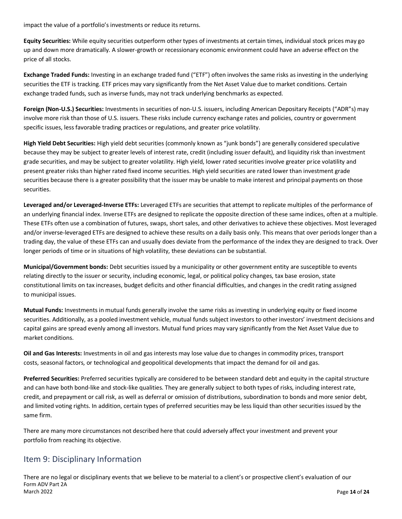impact the value of a portfolio's investments or reduce its returns.

**Equity Securities:** While equity securities outperform other types of investments at certain times, individual stock prices may go up and down more dramatically. A slower-growth or recessionary economic environment could have an adverse effect on the price of all stocks.

**Exchange Traded Funds:** Investing in an exchange traded fund ("ETF") often involves the same risks as investing in the underlying securities the ETF is tracking. ETF prices may vary significantly from the Net Asset Value due to market conditions. Certain exchange traded funds, such as inverse funds, may not track underlying benchmarks as expected.

**Foreign (Non-U.S.) Securities:** Investments in securities of non-U.S. issuers, including American Depositary Receipts ("ADR"s) may involve more risk than those of U.S. issuers. These risks include currency exchange rates and policies, country or government specific issues, less favorable trading practices or regulations, and greater price volatility.

**High Yield Debt Securities:** High yield debt securities (commonly known as "junk bonds") are generally considered speculative because they may be subject to greater levels of interest rate, credit (including issuer default), and liquidity risk than investment grade securities, and may be subject to greater volatility. High yield, lower rated securities involve greater price volatility and present greater risks than higher rated fixed income securities. High yield securities are rated lower than investment grade securities because there is a greater possibility that the issuer may be unable to make interest and principal payments on those securities.

**Leveraged and/or Leveraged-Inverse ETFs:** Leveraged ETFs are securities that attempt to replicate multiples of the performance of an underlying financial index. Inverse ETFs are designed to replicate the opposite direction of these same indices, often at a multiple. These ETFs often use a combination of futures, swaps, short sales, and other derivatives to achieve these objectives. Most leveraged and/or inverse-leveraged ETFs are designed to achieve these results on a daily basis only. This means that over periods longer than a trading day, the value of these ETFs can and usually does deviate from the performance of the index they are designed to track. Over longer periods of time or in situations of high volatility, these deviations can be substantial.

**Municipal/Government bonds:** Debt securities issued by a municipality or other government entity are susceptible to events relating directly to the issuer or security, including economic, legal, or political policy changes, tax base erosion, state constitutional limits on tax increases, budget deficits and other financial difficulties, and changes in the credit rating assigned to municipal issues.

**Mutual Funds:** Investments in mutual funds generally involve the same risks as investing in underlying equity or fixed income securities. Additionally, as a pooled investment vehicle, mutual funds subject investors to other investors' investment decisions and capital gains are spread evenly among all investors. Mutual fund prices may vary significantly from the Net Asset Value due to market conditions.

**Oil and Gas Interests:** Investments in oil and gas interests may lose value due to changes in commodity prices, transport costs, seasonal factors, or technological and geopolitical developments that impact the demand for oil and gas.

**Preferred Securities:** Preferred securities typically are considered to be between standard debt and equity in the capital structure and can have both bond-like and stock-like qualities. They are generally subject to both types of risks, including interest rate, credit, and prepayment or call risk, as well as deferral or omission of distributions, subordination to bonds and more senior debt, and limited voting rights. In addition, certain types of preferred securities may be less liquid than other securities issued by the same firm.

There are many more circumstances not described here that could adversely affect your investment and prevent your portfolio from reaching its objective.

# <span id="page-13-0"></span>Item 9: Disciplinary Information

Form ADV Part 2A March 2022 Page **14** of **24** There are no legal or disciplinary events that we believe to be material to a client's or prospective client's evaluation of our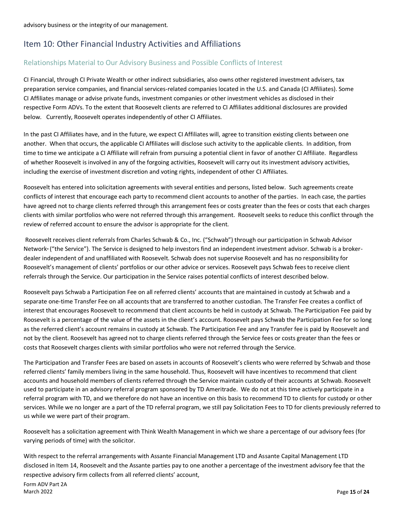# <span id="page-14-0"></span>Item 10: Other Financial Industry Activities and Affiliations

### <span id="page-14-1"></span>Relationships Material to Our Advisory Business and Possible Conflicts of Interest

CI Financial, through CI Private Wealth or other indirect subsidiaries, also owns other registered investment advisers, tax preparation service companies, and financial services-related companies located in the U.S. and Canada (CI Affiliates). Some CI Affiliates manage or advise private funds, investment companies or other investment vehicles as disclosed in their respective Form ADVs. To the extent that Roosevelt clients are referred to CI Affiliates additional disclosures are provided below. Currently, Roosevelt operates independently of other CI Affiliates.

In the past CI Affiliates have, and in the future, we expect CI Affiliates will, agree to transition existing clients between one another. When that occurs, the applicable CI Affiliates will disclose such activity to the applicable clients. In addition, from time to time we anticipate a CI Affiliate will refrain from pursuing a potential client in favor of another CI Affiliate. Regardless of whether Roosevelt is involved in any of the forgoing activities, Roosevelt will carry out its investment advisory activities, including the exercise of investment discretion and voting rights, independent of other CI Affiliates.

Roosevelt has entered into solicitation agreements with several entities and persons, listed below. Such agreements create conflicts of interest that encourage each party to recommend client accounts to another of the parties. In each case, the parties have agreed not to charge clients referred through this arrangement fees or costs greater than the fees or costs that each charges clients with similar portfolios who were not referred through this arrangement. Roosevelt seeks to reduce this conflict through the review of referred account to ensure the advisor is appropriate for the client.

Roosevelt receives client referrals from Charles Schwab & Co., Inc. ("Schwab") through our participation in Schwab Advisor Network® ("the Service"). The Service is designed to help investors find an independent investment advisor. Schwab is a brokerdealer independent of and unaffiliated with Roosevelt. Schwab does not supervise Roosevelt and has no responsibility for Roosevelt's management of clients' portfolios or our other advice or services. Roosevelt pays Schwab fees to receive client referrals through the Service. Our participation in the Service raises potential conflicts of interest described below.

Roosevelt pays Schwab a Participation Fee on all referred clients' accounts that are maintained in custody at Schwab and a separate one-time Transfer Fee on all accounts that are transferred to another custodian. The Transfer Fee creates a conflict of interest that encourages Roosevelt to recommend that client accounts be held in custody at Schwab. The Participation Fee paid by Roosevelt is a percentage of the value of the assets in the client's account. Roosevelt pays Schwab the Participation Fee for so long as the referred client's account remains in custody at Schwab. The Participation Fee and any Transfer fee is paid by Roosevelt and not by the client. Roosevelt has agreed not to charge clients referred through the Service fees or costs greater than the fees or costs that Roosevelt charges clients with similar portfolios who were not referred through the Service.

The Participation and Transfer Fees are based on assets in accounts of Roosevelt's clients who were referred by Schwab and those referred clients' family members living in the same household. Thus, Roosevelt will have incentives to recommend that client accounts and household members of clients referred through the Service maintain custody of their accounts at Schwab. Roosevelt used to participate in an advisory referral program sponsored by TD Ameritrade. We do not at this time actively participate in a referral program with TD, and we therefore do not have an incentive on this basis to recommend TD to clients for custody or other services. While we no longer are a part of the TD referral program, we still pay Solicitation Fees to TD for clients previously referred to us while we were part of their program.

Roosevelt has a solicitation agreement with Think Wealth Management in which we share a percentage of our advisory fees (for varying periods of time) with the solicitor.

With respect to the referral arrangements with Assante Financial Management LTD and Assante Capital Management LTD disclosed in Item 14, Roosevelt and the Assante parties pay to one another a percentage of the investment advisory fee that the respective advisory firm collects from all referred clients' account,

Form ADV Part 2A March 2022 Page **15** of **24**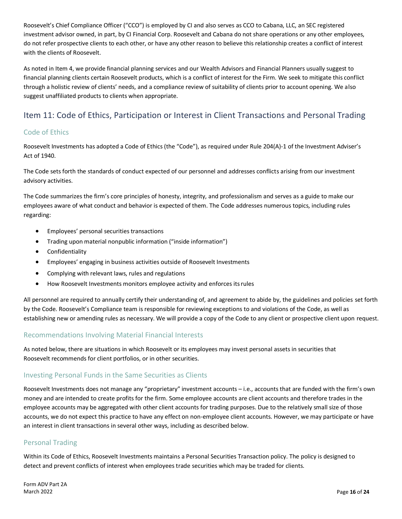Roosevelt's Chief Compliance Officer ("CCO") is employed by CI and also serves as CCO to Cabana, LLC, an SEC registered investment advisor owned, in part, by CI Financial Corp. Roosevelt and Cabana do not share operations or any other employees, do not refer prospective clients to each other, or have any other reason to believe this relationship creates a conflict of interest with the clients of Roosevelt.

As noted in Item 4, we provide financial planning services and our Wealth Advisors and Financial Planners usually suggest to financial planning clients certain Roosevelt products, which is a conflict of interest for the Firm. We seek to mitigate this conflict through a holistic review of clients' needs, and a compliance review of suitability of clients prior to account opening. We also suggest unaffiliated products to clients when appropriate.

# <span id="page-15-0"></span>Item 11: Code of Ethics, Participation or Interest in Client Transactions and Personal Trading

### <span id="page-15-1"></span>Code of Ethics

Roosevelt Investments has adopted a Code of Ethics (the "Code"), as required under Rule 204(A)-1 of the Investment Adviser's Act of 1940.

The Code sets forth the standards of conduct expected of our personnel and addresses conflicts arising from our investment advisory activities.

The Code summarizes the firm's core principles of honesty, integrity, and professionalism and serves as a guide to make our employees aware of what conduct and behavior is expected of them. The Code addresses numerous topics, including rules regarding:

- Employees' personal securities transactions
- Trading upon material nonpublic information ("inside information")
- Confidentiality
- Employees' engaging in business activities outside of Roosevelt Investments
- Complying with relevant laws, rules and regulations
- How Roosevelt Investments monitors employee activity and enforces itsrules

All personnel are required to annually certify their understanding of, and agreement to abide by, the guidelines and policies set forth by the Code. Roosevelt's Compliance team is responsible for reviewing exceptions to and violations of the Code, as well as establishing new or amending rules as necessary. We will provide a copy of the Code to any client or prospective client upon request.

### <span id="page-15-2"></span>Recommendations Involving Material Financial Interests

As noted below, there are situations in which Roosevelt or its employees may invest personal assets in securities that Roosevelt recommends for client portfolios, or in other securities.

### <span id="page-15-3"></span>Investing Personal Funds in the Same Securities as Clients

Roosevelt Investments does not manage any "proprietary" investment accounts – i.e., accounts that are funded with the firm's own money and are intended to create profits for the firm. Some employee accounts are client accounts and therefore trades in the employee accounts may be aggregated with other client accounts for trading purposes. Due to the relatively small size of those accounts, we do not expect this practice to have any effect on non-employee client accounts. However, we may participate or have an interest in client transactions in several other ways, including as described below.

### <span id="page-15-4"></span>Personal Trading

Within its Code of Ethics, Roosevelt Investments maintains a Personal Securities Transaction policy. The policy is designed to detect and prevent conflicts of interest when employees trade securities which may be traded for clients.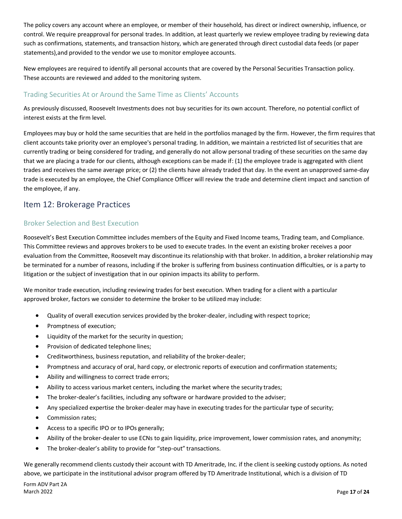The policy covers any account where an employee, or member of their household, has direct or indirect ownership, influence, or control. We require preapproval for personal trades. In addition, at least quarterly we review employee trading by reviewing data such as confirmations, statements, and transaction history, which are generated through direct custodial data feeds (or paper statements),and provided to the vendor we use to monitor employee accounts.

New employees are required to identify all personal accounts that are covered by the Personal Securities Transaction policy. These accounts are reviewed and added to the monitoring system.

### <span id="page-16-0"></span>Trading Securities At or Around the Same Time as Clients' Accounts

As previously discussed, Roosevelt Investments does not buy securities for its own account. Therefore, no potential conflict of interest exists at the firm level.

Employees may buy or hold the same securities that are held in the portfolios managed by the firm. However, the firm requires that client accounts take priority over an employee's personal trading. In addition, we maintain a restricted list of securities that are currently trading or being considered for trading, and generally do not allow personal trading of these securities on the same day that we are placing a trade for our clients, although exceptions can be made if: (1) the employee trade is aggregated with client trades and receives the same average price; or (2) the clients have already traded that day. In the event an unapproved same-day trade is executed by an employee, the Chief Compliance Officer will review the trade and determine client impact and sanction of the employee, if any.

## <span id="page-16-1"></span>Item 12: Brokerage Practices

### <span id="page-16-2"></span>Broker Selection and Best Execution

Roosevelt's Best Execution Committee includes members of the Equity and Fixed Income teams, Trading team, and Compliance. This Committee reviews and approves brokers to be used to execute trades. In the event an existing broker receives a poor evaluation from the Committee, Roosevelt may discontinue its relationship with that broker. In addition, a broker relationship may be terminated for a number of reasons, including if the broker is suffering from business continuation difficulties, or is a party to litigation or the subject of investigation that in our opinion impacts its ability to perform.

We monitor trade execution, including reviewing trades for best execution. When trading for a client with a particular approved broker, factors we consider to determine the broker to be utilized may include:

- Quality of overall execution services provided by the broker-dealer, including with respect toprice;
- Promptness of execution;
- Liquidity of the market for the security in question;
- Provision of dedicated telephone lines;
- Creditworthiness, business reputation, and reliability of the broker-dealer;
- Promptness and accuracy of oral, hard copy, or electronic reports of execution and confirmation statements;
- Ability and willingness to correct trade errors;
- Ability to access various market centers, including the market where the security trades;
- The broker-dealer's facilities, including any software or hardware provided to the adviser;
- Any specialized expertise the broker-dealer may have in executing trades for the particular type of security;
- Commission rates;
- Access to a specific IPO or to IPOs generally;
- Ability of the broker-dealer to use ECNs to gain liquidity, price improvement, lower commission rates, and anonymity;
- The broker-dealer's ability to provide for "step-out" transactions.

We generally recommend clients custody their account with TD Ameritrade, Inc. if the client is seeking custody options. As noted above, we participate in the institutional advisor program offered by TD Ameritrade Institutional, which is a division of TD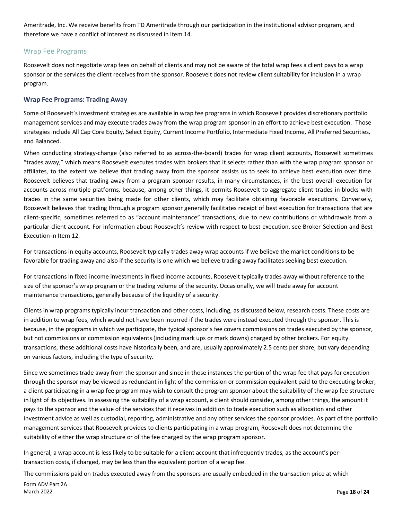Ameritrade, Inc. We receive benefits from TD Ameritrade through our participation in the institutional advisor program, and therefore we have a conflict of interest as discussed in Item 14.

#### <span id="page-17-0"></span>Wrap Fee Programs

Roosevelt does not negotiate wrap fees on behalf of clients and may not be aware of the total wrap fees a client pays to a wrap sponsor or the services the client receives from the sponsor. Roosevelt does not review client suitability for inclusion in a wrap program.

#### <span id="page-17-1"></span>**Wrap Fee Programs: Trading Away**

Some of Roosevelt's investment strategies are available in wrap fee programs in which Roosevelt provides discretionary portfolio management services and may execute trades away from the wrap program sponsor in an effort to achieve best execution. Those strategies include All Cap Core Equity, Select Equity, Current Income Portfolio, Intermediate Fixed Income, All Preferred Securities, and Balanced.

When conducting strategy-change (also referred to as across-the-board) trades for wrap client accounts, Roosevelt sometimes "trades away," which means Roosevelt executes trades with brokers that it selects rather than with the wrap program sponsor or affiliates, to the extent we believe that trading away from the sponsor assists us to seek to achieve best execution over time. Roosevelt believes that trading away from a program sponsor results, in many circumstances, in the best overall execution for accounts across multiple platforms, because, among other things, it permits Roosevelt to aggregate client trades in blocks with trades in the same securities being made for other clients, which may facilitate obtaining favorable executions. Conversely, Roosevelt believes that trading through a program sponsor generally facilitates receipt of best execution for transactions that are client-specific, sometimes referred to as "account maintenance" transactions, due to new contributions or withdrawals from a particular client account. For information about Roosevelt's review with respect to best execution, see Broker Selection and Best Execution in Item 12.

For transactions in equity accounts, Roosevelt typically trades away wrap accounts if we believe the market conditions to be favorable for trading away and also if the security is one which we believe trading away facilitates seeking best execution.

For transactions in fixed income investments in fixed income accounts, Roosevelt typically trades away without reference to the size of the sponsor's wrap program or the trading volume of the security. Occasionally, we will trade away for account maintenance transactions, generally because of the liquidity of a security.

Clients in wrap programs typically incur transaction and other costs, including, as discussed below, research costs. These costs are in addition to wrap fees, which would not have been incurred if the trades were instead executed through the sponsor. This is because, in the programs in which we participate, the typical sponsor's fee covers commissions on trades executed by the sponsor, but not commissions or commission equivalents (including mark ups or mark downs) charged by other brokers. For equity transactions, these additional costs have historically been, and are, usually approximately 2.5 cents per share, but vary depending on various factors, including the type of security.

Since we sometimes trade away from the sponsor and since in those instances the portion of the wrap fee that pays for execution through the sponsor may be viewed as redundant in light of the commission or commission equivalent paid to the executing broker, a client participating in a wrap fee program may wish to consult the program sponsor about the suitability of the wrap fee structure in light of its objectives. In assessing the suitability of a wrap account, a client should consider, among other things, the amount it pays to the sponsor and the value of the services that it receives in addition to trade execution such as allocation and other investment advice as well as custodial, reporting, administrative and any other services the sponsor provides. As part of the portfolio management services that Roosevelt provides to clients participating in a wrap program, Roosevelt does not determine the suitability of either the wrap structure or of the fee charged by the wrap program sponsor.

In general, a wrap account is less likely to be suitable for a client account that infrequently trades, as the account's pertransaction costs, if charged, may be less than the equivalent portion of a wrap fee.

Form ADV Part 2A March 2022 Page **18** of **24** The commissions paid on trades executed away from the sponsors are usually embedded in the transaction price at which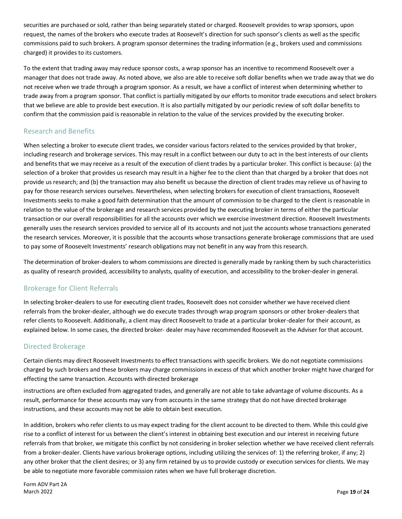securities are purchased or sold, rather than being separately stated or charged. Roosevelt provides to wrap sponsors, upon request, the names of the brokers who execute trades at Roosevelt's direction for such sponsor's clients as well as the specific commissions paid to such brokers. A program sponsor determines the trading information (e.g., brokers used and commissions charged) it provides to its customers.

To the extent that trading away may reduce sponsor costs, a wrap sponsor has an incentive to recommend Roosevelt over a manager that does not trade away. As noted above, we also are able to receive soft dollar benefits when we trade away that we do not receive when we trade through a program sponsor. As a result, we have a conflict of interest when determining whether to trade away from a program sponsor. That conflict is partially mitigated by our efforts to monitor trade executions and select brokers that we believe are able to provide best execution. It is also partially mitigated by our periodic review of soft dollar benefits to confirm that the commission paid is reasonable in relation to the value of the services provided by the executing broker.

### <span id="page-18-0"></span>Research and Benefits

When selecting a broker to execute client trades, we consider various factors related to the services provided by that broker, including research and brokerage services. This may result in a conflict between our duty to act in the best interests of our clients and benefits that we may receive as a result of the execution of client trades by a particular broker. This conflict is because: (a) the selection of a broker that provides us research may result in a higher fee to the client than that charged by a broker that does not provide us research; and (b) the transaction may also benefit us because the direction of client trades may relieve us of having to pay for those research services ourselves. Nevertheless, when selecting brokers for execution of client transactions, Roosevelt Investments seeks to make a good faith determination that the amount of commission to be charged to the client is reasonable in relation to the value of the brokerage and research services provided by the executing broker in terms of either the particular transaction or our overall responsibilities for all the accounts over which we exercise investment direction. Roosevelt Investments generally uses the research services provided to service all of its accounts and not just the accounts whose transactions generated the research services. Moreover, it is possible that the accounts whose transactions generate brokerage commissions that are used to pay some of Roosevelt Investments' research obligations may not benefit in any way from this research.

The determination of broker-dealers to whom commissions are directed is generally made by ranking them by such characteristics as quality of research provided, accessibility to analysts, quality of execution, and accessibility to the broker-dealer in general.

### <span id="page-18-1"></span>Brokerage for Client Referrals

In selecting broker-dealers to use for executing client trades, Roosevelt does not consider whether we have received client referrals from the broker-dealer, although we do execute trades through wrap program sponsors or other broker-dealers that refer clients to Roosevelt. Additionally, a client may direct Roosevelt to trade at a particular broker-dealer for their account, as explained below. In some cases, the directed broker- dealer may have recommended Roosevelt as the Adviser for that account.

### <span id="page-18-2"></span>Directed Brokerage

Certain clients may direct Roosevelt Investments to effect transactions with specific brokers. We do not negotiate commissions charged by such brokers and these brokers may charge commissions in excess of that which another broker might have charged for effecting the same transaction. Accounts with directed brokerage

instructions are often excluded from aggregated trades, and generally are not able to take advantage of volume discounts. As a result, performance for these accounts may vary from accounts in the same strategy that do not have directed brokerage instructions, and these accounts may not be able to obtain best execution.

In addition, brokers who refer clients to us may expect trading for the client account to be directed to them. While this could give rise to a conflict of interest for us between the client's interest in obtaining best execution and our interest in receiving future referrals from that broker, we mitigate this conflict by not considering in broker selection whether we have received client referrals from a broker-dealer. Clients have various brokerage options, including utilizing the services of: 1) the referring broker, if any; 2) any other broker that the client desires; or 3) any firm retained by us to provide custody or execution services for clients. We may be able to negotiate more favorable commission rates when we have full brokerage discretion.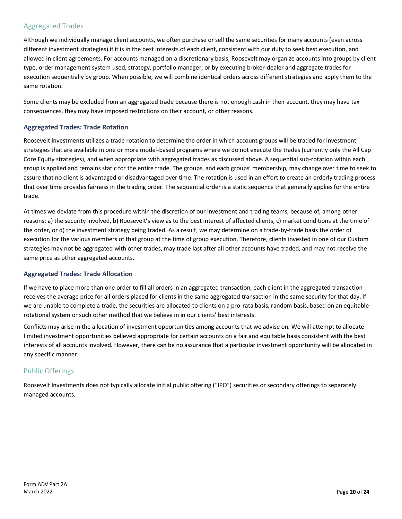#### <span id="page-19-0"></span>Aggregated Trades

Although we individually manage client accounts, we often purchase or sell the same securities for many accounts (even across different investment strategies) if it is in the best interests of each client, consistent with our duty to seek best execution, and allowed in client agreements. For accounts managed on a discretionary basis, Roosevelt may organize accounts into groups by client type, order management system used, strategy, portfolio manager, or by executing broker-dealer and aggregate trades for execution sequentially by group. When possible, we will combine identical orders across different strategies and apply them to the same rotation.

Some clients may be excluded from an aggregated trade because there is not enough cash in their account, they may have tax consequences, they may have imposed restrictions on their account, or other reasons.

#### <span id="page-19-1"></span>**Aggregated Trades: Trade Rotation**

Roosevelt Investments utilizes a trade rotation to determine the order in which account groups will be traded for investment strategies that are available in one or more model-based programs where we do not execute the trades (currently only the All Cap Core Equity strategies), and when appropriate with aggregated trades as discussed above. A sequential sub-rotation within each group is applied and remains static for the entire trade. The groups, and each groups' membership, may change over time to seek to assure that no client is advantaged or disadvantaged over time. The rotation is used in an effort to create an orderly trading process that over time provides fairness in the trading order. The sequential order is a static sequence that generally applies for the entire trade.

At times we deviate from this procedure within the discretion of our investment and trading teams, because of, among other reasons: a) the security involved, b) Roosevelt's view as to the best interest of affected clients, c) market conditions at the time of the order, or d) the investment strategy being traded. As a result, we may determine on a trade-by-trade basis the order of execution for the various members of that group at the time of group execution. Therefore, clients invested in one of our Custom strategies may not be aggregated with other trades, may trade last after all other accounts have traded, and may not receive the same price as other aggregated accounts.

#### <span id="page-19-2"></span>**Aggregated Trades: Trade Allocation**

If we have to place more than one order to fill all orders in an aggregated transaction, each client in the aggregated transaction receives the average price for all orders placed for clients in the same aggregated transaction in the same security for that day. If we are unable to complete a trade, the securities are allocated to clients on a pro-rata basis, random basis, based on an equitable rotational system or such other method that we believe in in our clients' best interests.

Conflicts may arise in the allocation of investment opportunities among accounts that we advise on. We will attempt to allocate limited investment opportunities believed appropriate for certain accounts on a fair and equitable basis consistent with the best interests of all accounts involved. However, there can be no assurance that a particular investment opportunity will be allocated in any specific manner.

### <span id="page-19-3"></span>Public Offerings

Roosevelt Investments does not typically allocate initial public offering ("IPO") securities or secondary offerings to separately managed accounts.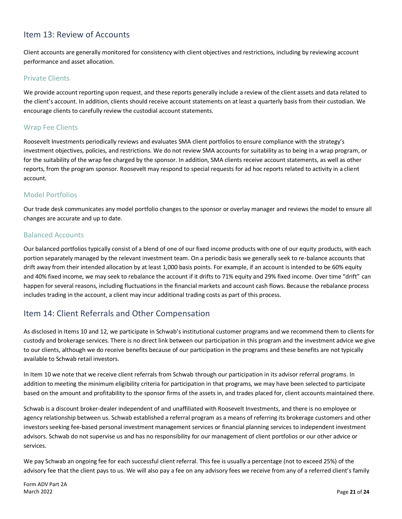# <span id="page-20-0"></span>Item 13: Review of Accounts

Client accounts are generally monitored for consistency with client objectives and restrictions, including by reviewing account performance and asset allocation.

#### <span id="page-20-1"></span>Private Clients

We provide account reporting upon request, and these reports generally include a review of the client assets and data related to the client's account. In addition, clients should receive account statements on at least a quarterly basis from their custodian. We encourage clients to carefully review the custodial account statements.

#### <span id="page-20-2"></span>Wrap Fee Clients

Roosevelt Investments periodically reviews and evaluates SMA client portfolios to ensure compliance with the strategy's investment objectives, policies, and restrictions. We do not review SMA accounts for suitability as to being in a wrap program, or for the suitability of the wrap fee charged by the sponsor. In addition, SMA clients receive account statements, as well as other reports, from the program sponsor. Roosevelt may respond to special requests for ad hoc reports related to activity in a client account.

#### <span id="page-20-3"></span>Model Portfolios

Our trade desk communicates any model portfolio changes to the sponsor or overlay manager and reviews the model to ensure all changes are accurate and up to date.

#### <span id="page-20-4"></span>Balanced Accounts

Our balanced portfolios typically consist of a blend of one of our fixed income products with one of our equity products, with each portion separately managed by the relevant investment team. On a periodic basis we generally seek to re-balance accounts that drift away from their intended allocation by at least 1,000 basis points. For example, if an account is intended to be 60% equity and 40% fixed income, we may seek to rebalance the account if it drifts to 71% equity and 29% fixed income. Over time "drift" can happen for several reasons, including fluctuations in the financial markets and account cash flows. Because the rebalance process includes trading in the account, a client may incur additional trading costs as part of this process.

# <span id="page-20-5"></span>Item 14: Client Referrals and Other Compensation

As disclosed in Items 10 and 12, we participate in Schwab's institutional customer programs and we recommend them to clients for custody and brokerage services. There is no direct link between our participation in this program and the investment advice we give to our clients, although we do receive benefits because of our participation in the programs and these benefits are not typically available to Schwab retail investors.

In Item 10 we note that we receive client referrals from Schwab through our participation in its advisor referral programs. In addition to meeting the minimum eligibility criteria for participation in that programs, we may have been selected to participate based on the amount and profitability to the sponsor firms of the assets in, and trades placed for, client accounts maintained there.

Schwab is a discount broker-dealer independent of and unaffiliated with Roosevelt Investments, and there is no employee or agency relationship between us. Schwab established a referral program as a means of referring its brokerage customers and other investors seeking fee-based personal investment management services or financial planning services to independent investment advisors. Schwab do not supervise us and has no responsibility for our management of client portfolios or our other advice or services.

We pay Schwab an ongoing fee for each successful client referral. This fee is usually a percentage (not to exceed 25%) of the advisory fee that the client pays to us. We will also pay a fee on any advisory fees we receive from any of a referred client's family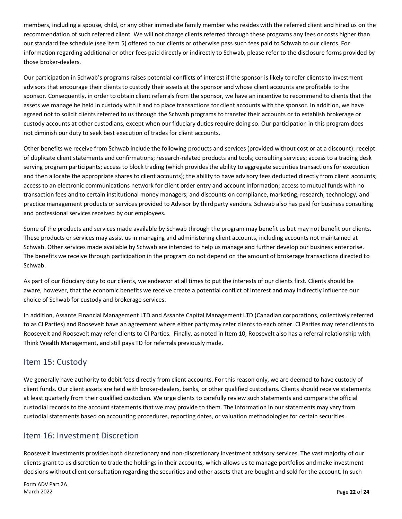members, including a spouse, child, or any other immediate family member who resides with the referred client and hired us on the recommendation of such referred client. We will not charge clients referred through these programs any fees or costs higher than our standard fee schedule (see Item 5) offered to our clients or otherwise pass such fees paid to Schwab to our clients. For information regarding additional or other fees paid directly or indirectly to Schwab, please refer to the disclosure forms provided by those broker-dealers.

Our participation in Schwab's programs raises potential conflicts of interest if the sponsor is likely to refer clients to investment advisors that encourage their clients to custody their assets at the sponsor and whose client accounts are profitable to the sponsor. Consequently, in order to obtain client referrals from the sponsor, we have an incentive to recommend to clients that the assets we manage be held in custody with it and to place transactions for client accounts with the sponsor. In addition, we have agreed not to solicit clients referred to us through the Schwab programs to transfer their accounts or to establish brokerage or custody accounts at other custodians, except when our fiduciary duties require doing so. Our participation in this program does not diminish our duty to seek best execution of trades for client accounts.

Other benefits we receive from Schwab include the following products and services (provided without cost or at a discount): receipt of duplicate client statements and confirmations; research-related products and tools; consulting services; access to a trading desk serving program participants; access to block trading (which provides the ability to aggregate securities transactions for execution and then allocate the appropriate shares to client accounts); the ability to have advisory fees deducted directly from client accounts; access to an electronic communications network for client order entry and account information; access to mutual funds with no transaction fees and to certain institutional money managers; and discounts on compliance, marketing, research, technology, and practice management products or services provided to Advisor by third party vendors. Schwab also has paid for business consulting and professional services received by our employees.

Some of the products and services made available by Schwab through the program may benefit us but may not benefit our clients. These products or services may assist us in managing and administering client accounts, including accounts not maintained at Schwab. Other services made available by Schwab are intended to help us manage and further develop our business enterprise. The benefits we receive through participation in the program do not depend on the amount of brokerage transactions directed to Schwab.

As part of our fiduciary duty to our clients, we endeavor at all times to put the interests of our clients first. Clients should be aware, however, that the economic benefits we receive create a potential conflict of interest and may indirectly influence our choice of Schwab for custody and brokerage services.

In addition, Assante Financial Management LTD and Assante Capital Management LTD (Canadian corporations, collectively referred to as CI Parties) and Roosevelt have an agreement where either party may refer clients to each other. CI Parties may refer clients to Roosevelt and Roosevelt may refer clients to CI Parties. Finally, as noted in Item 10, Roosevelt also has a referral relationship with Think Wealth Management, and still pays TD for referrals previously made.

# <span id="page-21-0"></span>Item 15: Custody

We generally have authority to debit fees directly from client accounts. For this reason only, we are deemed to have custody of client funds. Our client assets are held with broker-dealers, banks, or other qualified custodians. Clients should receive statements at least quarterly from their qualified custodian. We urge clients to carefully review such statements and compare the official custodial records to the account statements that we may provide to them. The information in our statements may vary from custodial statements based on accounting procedures, reporting dates, or valuation methodologies for certain securities.

### <span id="page-21-1"></span>Item 16: Investment Discretion

Roosevelt Investments provides both discretionary and non-discretionary investment advisory services. The vast majority of our clients grant to us discretion to trade the holdings in their accounts, which allows us to manage portfolios and make investment decisions without client consultation regarding the securities and other assets that are bought and sold for the account. In such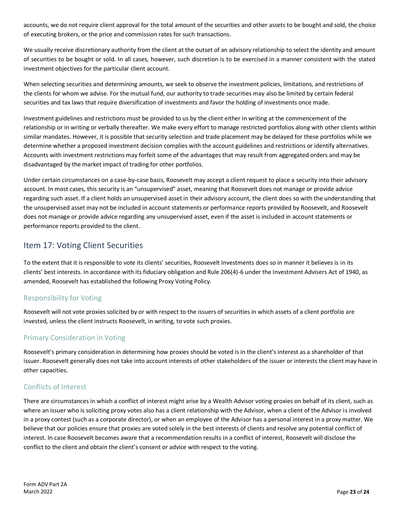accounts, we do not require client approval for the total amount of the securities and other assets to be bought and sold, the choice of executing brokers, or the price and commission rates for such transactions.

We usually receive discretionary authority from the client at the outset of an advisory relationship to select the identity and amount of securities to be bought or sold. In all cases, however, such discretion is to be exercised in a manner consistent with the stated investment objectives for the particular client account.

When selecting securities and determining amounts, we seek to observe the investment policies, limitations, and restrictions of the clients for whom we advise. For the mutual fund, our authority to trade securities may also be limited by certain federal securities and tax laws that require diversification of investments and favor the holding of investments once made.

Investment guidelines and restrictions must be provided to us by the client either in writing at the commencement of the relationship or in writing or verbally thereafter. We make every effort to manage restricted portfolios along with other clients within similar mandates. However, it is possible that security selection and trade placement may be delayed for these portfolios while we determine whether a proposed investment decision complies with the account guidelines and restrictions or identify alternatives. Accounts with investment restrictions may forfeit some of the advantages that may result from aggregated orders and may be disadvantaged by the market impact of trading for other portfolios.

Under certain circumstances on a case-by-case basis, Roosevelt may accept a client request to place a security into their advisory account. In most cases, this security is an "unsupervised" asset, meaning that Roosevelt does not manage or provide advice regarding such asset. If a client holds an unsupervised asset in their advisory account, the client does so with the understanding that the unsupervised asset may not be included in account statements or performance reports provided by Roosevelt, and Roosevelt does not manage or provide advice regarding any unsupervised asset, even if the asset is included in account statements or performance reports provided to the client.

# <span id="page-22-0"></span>Item 17: Voting Client Securities

To the extent that it is responsible to vote its clients' securities, Roosevelt Investments does so in manner it believes is in its clients' best interests. In accordance with its fiduciary obligation and Rule 206(4)-6 under the Investment Advisers Act of 1940, as amended, Roosevelt has established the following Proxy Voting Policy.

### <span id="page-22-1"></span>Responsibility for Voting

Roosevelt will not vote proxies solicited by or with respect to the issuers of securities in which assets of a client portfolio are invested, unless the client instructs Roosevelt, in writing, to vote such proxies.

### <span id="page-22-2"></span>Primary Consideration in Voting

Roosevelt's primary consideration in determining how proxies should be voted is in the client's interest as a shareholder of that issuer. Roosevelt generally does not take into account interests of other stakeholders of the issuer or interests the client may have in other capacities.

### <span id="page-22-3"></span>Conflicts of Interest

<span id="page-22-4"></span>There are circumstances in which a conflict of interest might arise by a Wealth Advisor voting proxies on behalf of its client, such as where an issuer who is soliciting proxy votes also has a client relationship with the Advisor, when a client of the Advisor is involved in a proxy contest (such as a corporate director), or when an employee of the Advisor has a personal interest in a proxy matter. We believe that our policies ensure that proxies are voted solely in the best interests of clients and resolve any potential conflict of interest. In case Roosevelt becomes aware that a recommendation results in a conflict of interest, Roosevelt will disclose the conflict to the client and obtain the client's consent or advice with respect to the voting.